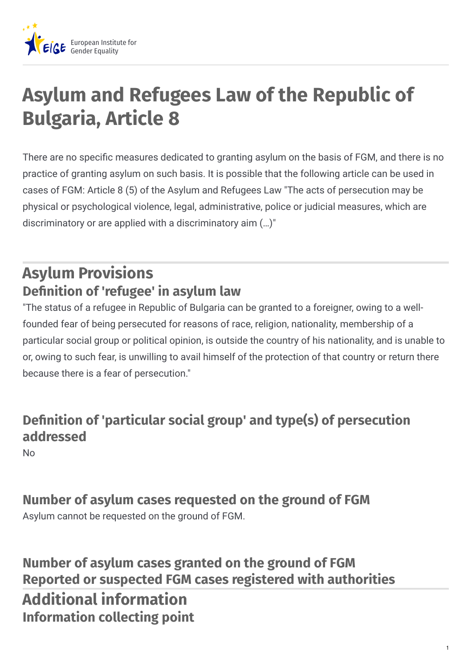

# **Asylum and Refugees Law of the Republic of Bulgaria, Article 8**

There are no specific measures dedicated to granting asylum on the basis of FGM, and there is no practice of granting asylum on such basis. It is possible that the following article can be used in cases of FGM: Article 8 (5) of the Asylum and Refugees Law "The acts of persecution may be physical or psychological violence, legal, administrative, police or judicial measures, which are discriminatory or are applied with a discriminatory aim (…)"

## **Asylum Provisions Denition of 'refugee' in asylum law**

"The status of a refugee in Republic of Bulgaria can be granted to a foreigner, owing to a wellfounded fear of being persecuted for reasons of race, religion, nationality, membership of a particular social group or political opinion, is outside the country of his nationality, and is unable to or, owing to such fear, is unwilling to avail himself of the protection of that country or return there because there is a fear of persecution."

#### **Denition of 'particular social group' and type(s) of persecution addressed**

No

#### **Number of asylum cases requested on the ground of FGM**

Asylum cannot be requested on the ground of FGM.

**Number of asylum cases granted on the ground of FGM Reported or suspected FGM cases registered with authorities Additional information Information collecting point**